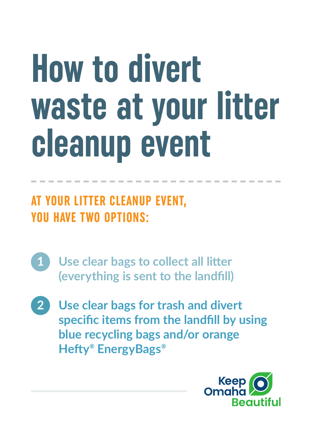# **How to divert waste at your litter cleanup event**

### **AT YOUR LITTER CLEANUP EVENT, YOU HAVE TWO OPTIONS:**

- **1 Use clear bags to collect all litter (everything is sent to the landfill)**
- **2 Use clear bags for trash and divert specific items from the landfill by using blue recycling bags and/or orange Hefty® EnergyBags®**

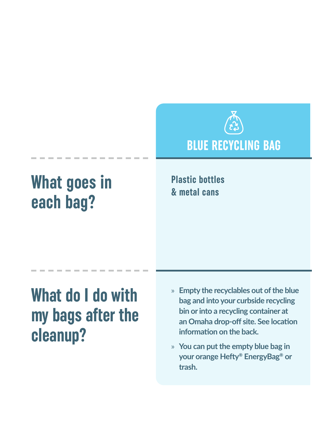

# **What goes in each bag?**

**Plastic bottles & metal cans**

## **What do I do with my bags after the cleanup?**

- » **Empty the recyclables out of the blue bag and into your curbside recycling bin or into a recycling container at an Omaha drop-off site. See location information on the back.**
- » **You can put the empty blue bag in your orange Hefty® EnergyBag® or trash.**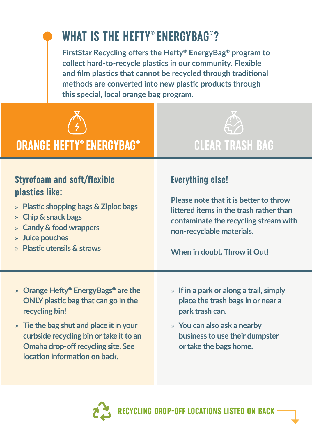## **WHAT IS THE HEFTY® ENERGYBAG®?**

**FirstStar Recycling offers the Hefty® EnergyBag® program to collect hard-to-recycle plastics in our community. Flexible and film plastics that cannot be recycled through traditional methods are converted into new plastic products through this special, local orange bag program.**



#### **ORANGE HEFTY® ENERGYBAG® CLEAR TRASH BAG**



#### **Styrofoam and soft/flexible plastics like:**

- » **Plastic shopping bags & Ziploc bags**
- » **Chip & snack bags**
- » **Candy & food wrappers**
- » **Juice pouches**
- » **Plastic utensils & straws**

#### **Everything else!**

**Please note that it is better to throw littered items in the trash rather than contaminate the recycling stream with non-recyclable materials.** 

**When in doubt, Throw it Out!**

- » **Orange Hefty® EnergyBags® are the ONLY plastic bag that can go in the recycling bin!**
- » **Tie the bag shut and place it in your curbside recycling bin or take it to an Omaha drop-off recycling site. See location information on back.**
- » **If in a park or along a trail, simply place the trash bags in or near a park trash can.**
- » **You can also ask a nearby business to use their dumpster or take the bags home.**